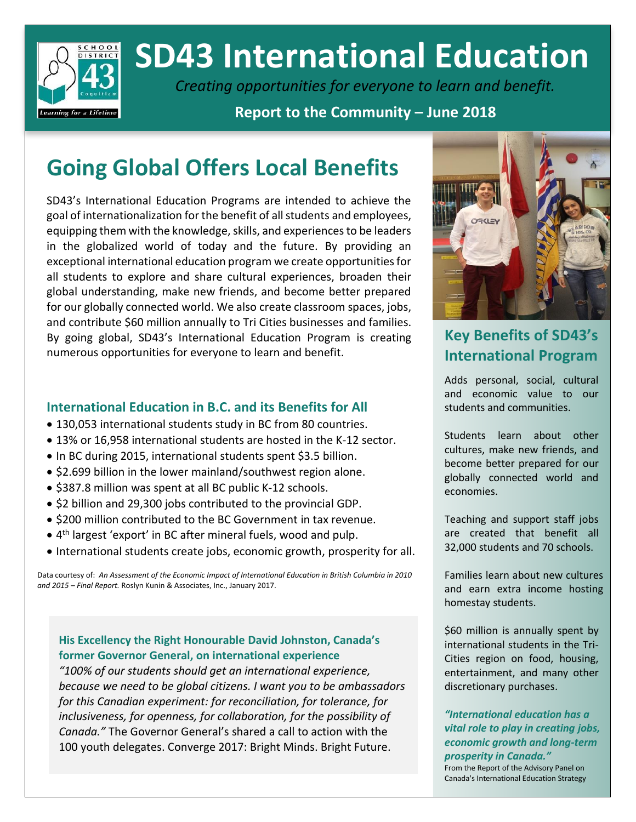

# **SD43 International Education**

*Creating opportunities for everyone to learn and benefit.*

**Report to the Community – June 2018**

## **Going Global Offers Local Benefits**

SD43's International Education Programs are intended to achieve the goal of internationalization for the benefit of all students and employees, equipping them with the knowledge, skills, and experiences to be leaders in the globalized world of today and the future. By providing an exceptional international education program we create opportunities for all students to explore and share cultural experiences, broaden their global understanding, make new friends, and become better prepared for our globally connected world. We also create classroom spaces, jobs, and contribute \$60 million annually to Tri Cities businesses and families. By going global, SD43's International Education Program is creating numerous opportunities for everyone to learn and benefit.

## **International Education in B.C. and its Benefits for All**

- 130,053 international students study in BC from 80 countries.
- 13% or 16,958 international students are hosted in the K-12 sector.
- In BC during 2015, international students spent \$3.5 billion.
- \$2.699 billion in the lower mainland/southwest region alone.
- \$387.8 million was spent at all BC public K-12 schools.
- \$2 billion and 29,300 jobs contributed to the provincial GDP.
- \$200 million contributed to the BC Government in tax revenue.
- 4 th largest 'export' in BC after mineral fuels, wood and pulp.
- International students create jobs, economic growth, prosperity for all.

Data courtesy of: *An Assessment of the Economic Impact of International Education in British Columbia in 2010 and 2015 – Final Report.* Roslyn Kunin & Associates, Inc., January 2017.

## **His Excellency the Right Honourable David Johnston, Canada's former Governor General, on international experience**

*"100% of our students should get an international experience, because we need to be global citizens. I want you to be ambassadors for this Canadian experiment: for reconciliation, for tolerance, for inclusiveness, for openness, for collaboration, for the possibility of Canada."* The Governor General's shared a call to action with the 100 youth delegates. Converge 2017: Bright Minds. Bright Future.



## **Key Benefits of SD43's International Program**

Adds personal, social, cultural and economic value to our students and communities.

Students learn about other cultures, make new friends, and become better prepared for our globally connected world and economies.

Teaching and support staff jobs are created that benefit all 32,000 students and 70 schools.

Families learn about new cultures and earn extra income hosting homestay students.

\$60 million is annually spent by international students in the Tri-Cities region on food, housing, entertainment, and many other discretionary purchases.

*"International education has a vital role to play in creating jobs, economic growth and long-term prosperity in Canada."*

From the Report of the Advisory Panel on Canada's International Education Strategy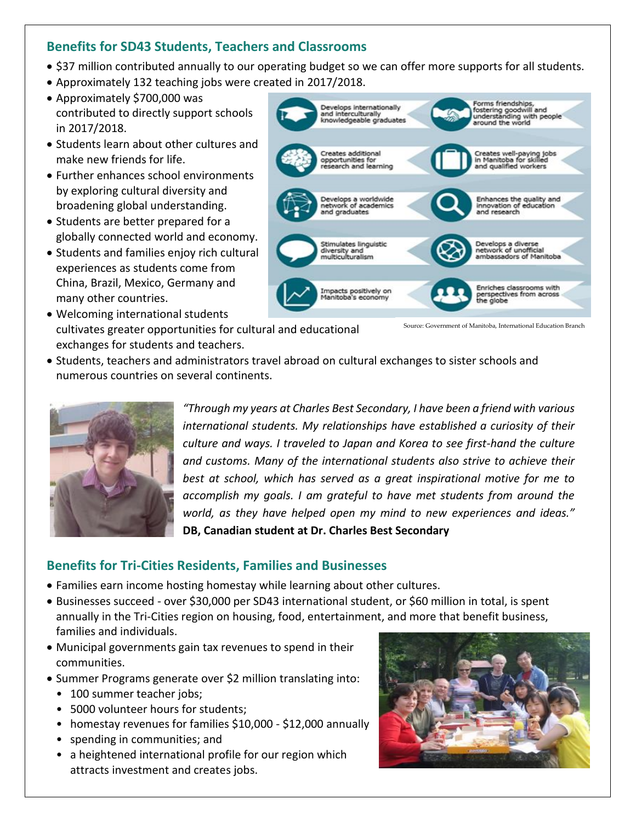## **Benefits for SD43 Students, Teachers and Classrooms**

- \$37 million contributed annually to our operating budget so we can offer more supports for all students.
- Approximately 132 teaching jobs were created in 2017/2018.
- Approximately \$700,000 was contributed to directly support schools in 2017/2018.
- Students learn about other cultures and make new friends for life.
- Further enhances school environments by exploring cultural diversity and broadening global understanding.
- Students are better prepared for a globally connected world and economy.
- Students and families enjoy rich cultural experiences as students come from China, Brazil, Mexico, Germany and many other countries.
- Welcoming international students cultivates greater opportunities for cultural and educational exchanges for students and teachers.



• Students, teachers and administrators travel abroad on cultural exchanges to sister schools and numerous countries on several continents.



*"Through my years at Charles Best Secondary, I have been a friend with various international students. My relationships have established a curiosity of their culture and ways. I traveled to Japan and Korea to see first-hand the culture and customs. Many of the international students also strive to achieve their best at school, which has served as a great inspirational motive for me to accomplish my goals. I am grateful to have met students from around the world, as they have helped open my mind to new experiences and ideas."* **DB, Canadian student at Dr. Charles Best Secondary**

## **Benefits for Tri-Cities Residents, Families and Businesses**

- Families earn income hosting homestay while learning about other cultures.
- Businesses succeed over \$30,000 per SD43 international student, or \$60 million in total, is spent annually in the Tri-Cities region on housing, food, entertainment, and more that benefit business, families and individuals.
- Municipal governments gain tax revenues to spend in their communities.
- Summer Programs generate over \$2 million translating into:
	- 100 summer teacher jobs;
	- 5000 volunteer hours for students;
	- homestay revenues for families \$10,000 \$12,000 annually
	- spending in communities; and
	- a heightened international profile for our region which attracts investment and creates jobs.